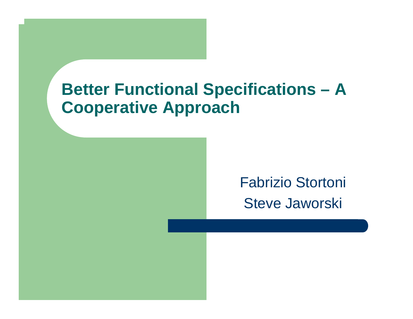#### **Better Functional Specifications – A Cooperative Approach**

#### Fabrizio Stortoni Steve Jaworski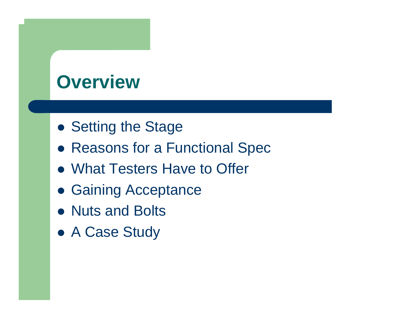#### **Overview**

- Setting the Stage
- Reasons for a Functional Spec
- What Testers Have to Offer
- Gaining Acceptance
- Nuts and Bolts
- A Case Study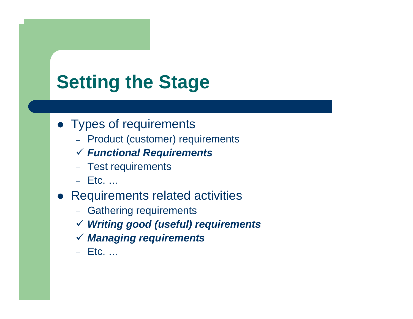## **Setting the Stage**

- Types of requirements
	- Product (customer) requirements
	- 9 *Functional Require ments*
	- Test requirements
	- Etc. …
- Requirements related activities
	- Gathering requirements
	- 9 *Writing good (useful) requirements*
	- 9 *Managing requirements*
	- Etc. …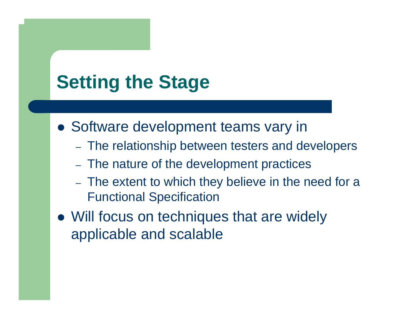### **Setting the Stage**

• Software development teams vary in

- The relationship between testers and developers
- The nature of the development practices
- The extent to which they believe in the need for a Functional Specification
- Will focus on techniques that are widely applicable and scalable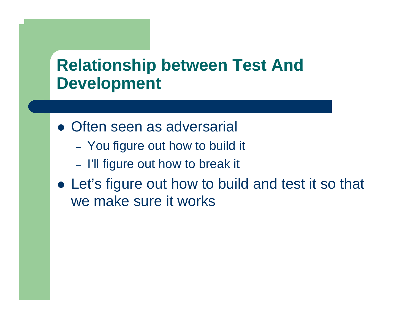#### **Relationship between Test And Development**

- Often seen as adversarial
	- You figure out how to build it
	- I'll figure out how to break it
- Let's figure out how to build and test it so that we make sure it works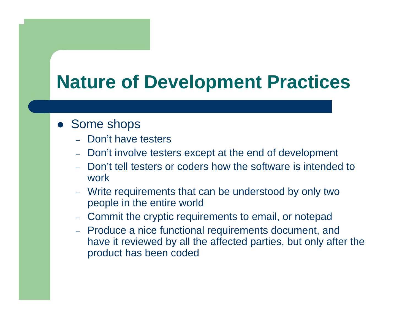#### **Nature of Development Practices**

#### • Some shops

- Don't have testers
- Don't involve testers except at the end of development
- Don't tell testers or coders how the software is intended to work
- Write requirements that can be understood by only two people in the entire world
- Commit the cryptic requirements to email, or notepad
- Produce a nice functional requirements document, and have it reviewed by all the affected parties, but only after the product has been coded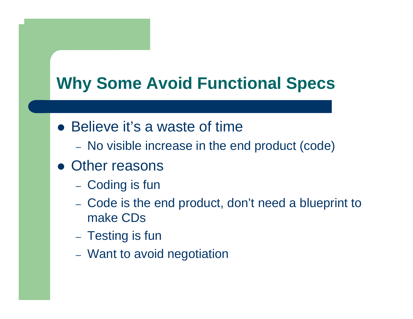#### **Why Some Avoid Functional Specs**

- Believe it's a waste of time
	- No visible increase in the end product (code)
- Other reasons
	- $-$ – Coding is fun
	- Code is the end product, don't need a blueprint to make CDs
	- Testing is fun
	- Want to avoid negotiation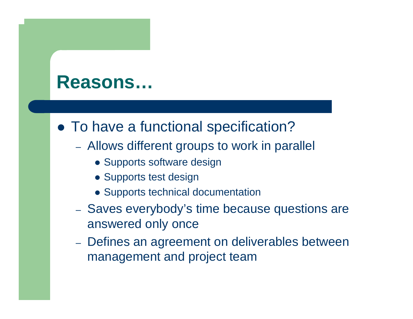#### **Reasons…**

#### • To have a functional specification?

- Allows different groups to work in parallel
	- Supports software design
	- Supports test design
	- Supports technical documentation
- Saves everybody's time because questions are answered only once
- Defines an agreement on deliverables between management and project team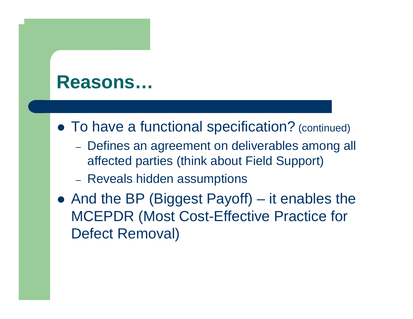#### **Reasons…**

- To have a functional specification? (continued)
	- Defines an agreement on deliverables among all affected parties (think about Field Support)
	- Reveals hidden assumptions
- And the BP (Biggest Payoff) it enables the MCEPDR (Most Cost-Effective Practice for Defect Removal)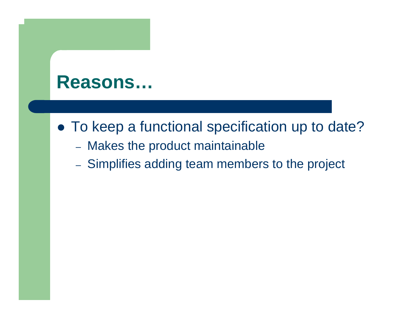#### **Reasons…**

- To keep a functional specification up to date?
	- Makes the product maintainable
	- Simplifies adding team members to the project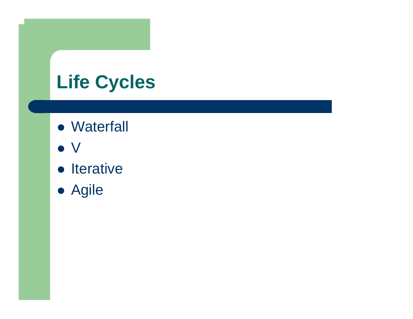# **Life Cycles**

- Waterfall
- $\bullet\,$  V
- Iterative
- Agile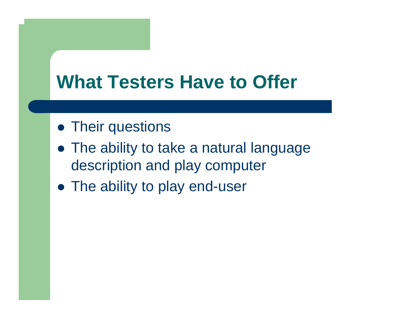#### **What Testers Have to Offer**

- Their questions
- The ability to take a natural language description and play computer
- The ability to play end-user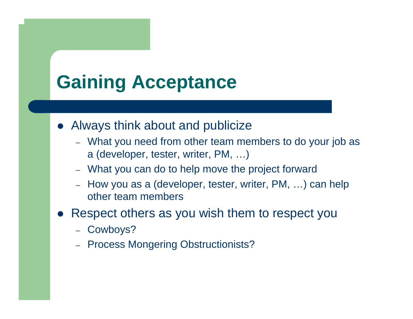#### **Gaining Acceptance**

- $\bullet$  Always think about and publicize
	- What you need from other team members to do your job as a (developer, tester, writer, PM, …)
	- What you can do to help move the project forward
	- How you as a (developer, tester, writer, PM, …) can help other team members
- $\bullet$  Respect others as you wish them to respect you
	- Cowboys?
	- Process Mongering Obstructionists?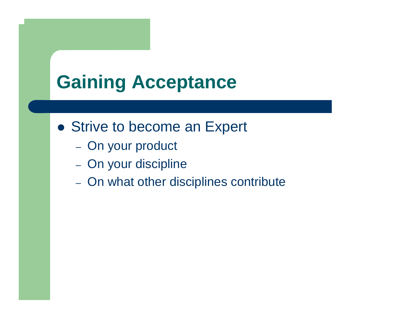### **Gaining Acceptance**

- Strive to become an Expert
	- On your product
	- On your discipline
	- On what other disciplines contribute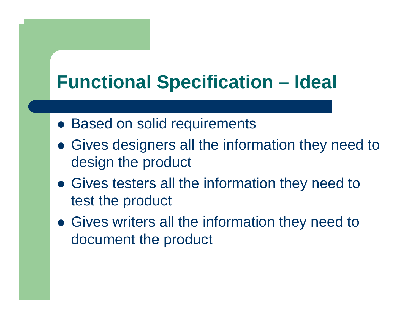## **Functional Specification – Ideal**

- Based on solid requirements
- Gives designers all the information they need to design the product
- Gives testers all the information they need to test the product
- Gives writers all the information they need to document the product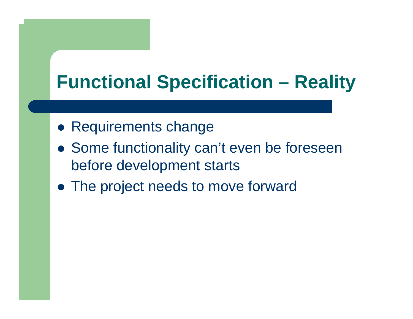## **Functional Specification – Reality**

- Requirements change
- Some functionality can't even be foreseen before development starts
- The project needs to move forward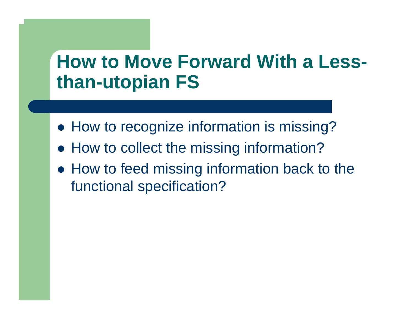#### **How to Move Forward With a Lessthan-utopian FS**

- How to recognize information is missing?
- How to collect the missing information?
- How to feed missing information back to the functional specification?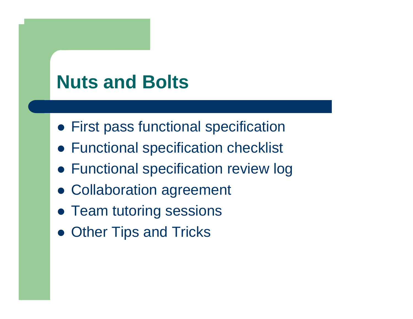#### **Nuts and Bolts**

- **First pass functional specification**
- Functional specification checklist
- **Functional specification review log**
- Collaboration agreement
- Team tutoring sessions
- Other Tips and Tricks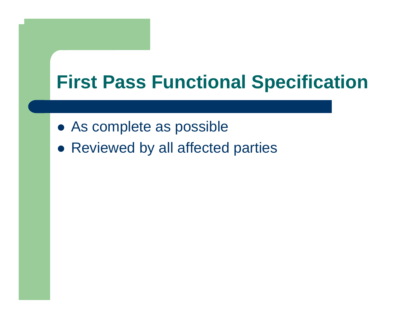#### **First Pass Functional Specification**

- As complete as possible
- Reviewed by all affected parties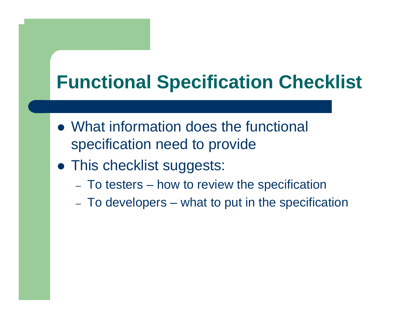## **Functional Specification Checklist**

- What information does the functional specification need to provide
- This checklist suggests:
	- –To testers – how to review the specification
	- –To developers – what to put in the specification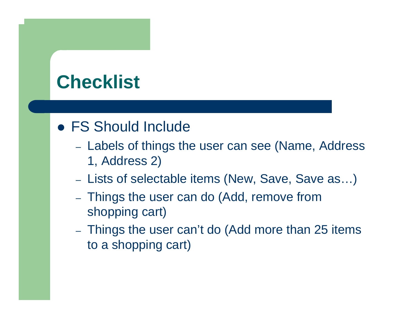### **Checklist**

#### • FS Should Include

- Labels of things the user can see (Name, Address 1, Address 2)
- Lists of selectable items (New, Save, Save as…)
- Things the user can do (Add, remove from shopping cart)
- –- Things the user can't do (Add more than 25 items to a shopping cart)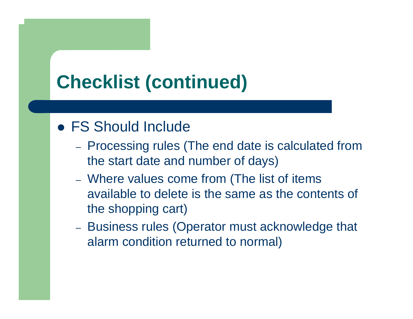### **Checklist (continued)**

#### • FS Should Include

- Processing rules (The end date is calculated from the start date and number of days)
- Where values come from (The list of items available to delete is the same as the contents of the shopping cart)
- Business rules (Operator must acknowledge that alarm condition returned to normal)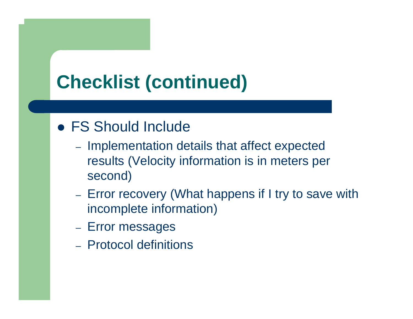## **Checklist (continued)**

#### • FS Should Include

- Implementation details that affect expected results (Velocity information is in meters per second)
- –- Error recovery (What happens if I try to save with incomplete information)
- Error messages
- Protocol definitions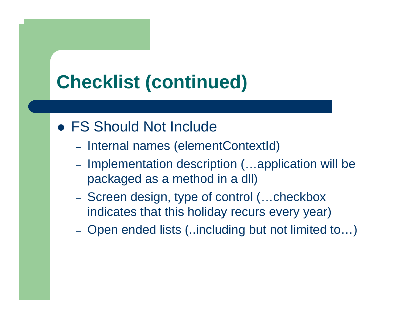### **Checklist (continued)**

#### • FS Should Not Include

- Internal names (elementContextId)
- Implementation description (...application will be packaged as a method in a dll)
- Screen design, type of control (...checkbox indicates that this holiday recurs every year)
- –Open ended lists (..including but not limited to…)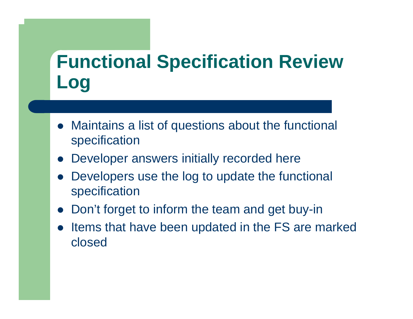## **Functional Specification Review Log**

- $\bullet$  Maintains a list of questions about the functional specification
- $\bullet$ Developer answers initially recorded here
- $\bullet$  Developers use the log to update the functional specification
- $\bullet$ Don't forget to inform the team and get buy-in
- $\bullet$  Items that have been updated in the FS are marked closed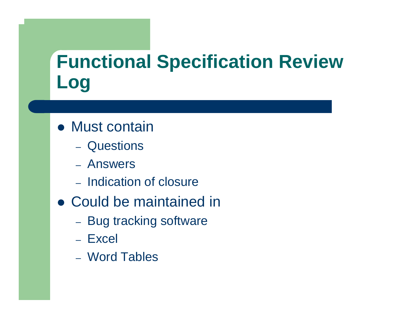## **Functional Specification Review Log**

- Must contain
	- Questions
	- Answers
	- Indication of closure
- Could be maintained in
	- Bug tracking software
	- Excel
	- Word Tables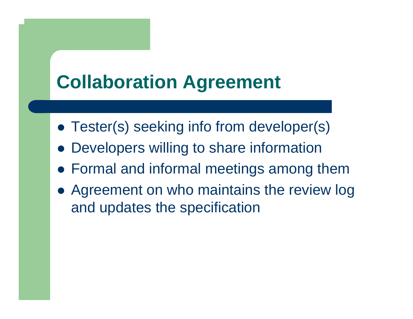### **Collaboration Agreement**

- Tester(s) seeking info from developer(s)
- $\bullet$ Developers willing to share information
- Formal and informal meetings among them
- Agreement on who maintains the review log and updates the specification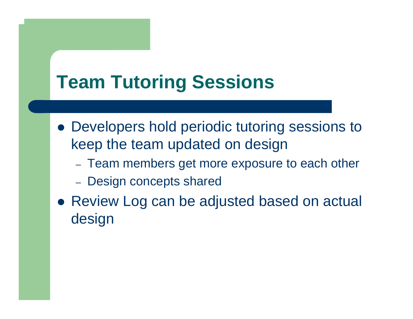### **Team Tutoring Sessions**

- Developers hold periodic tutoring sessions to keep the team updated on design
	- $-$ Team members get more exposure to each other
	- $-$ Design concepts shared
- Review Log can be adjusted based on actual design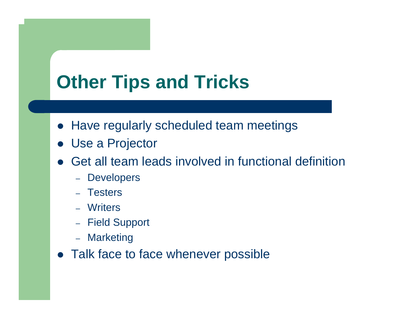### **Other Tips and Tricks**

- Have regularly scheduled team meetings
- Use a Projector
- $\bullet$  Get all team leads involved in functional definition
	- Developers
	- Testers
	- Writers
	- Field Suppor t
	- Marketing
- Talk face to face whenever possible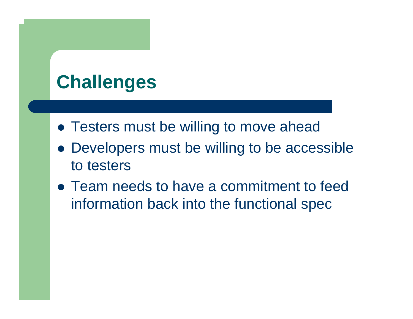## **Challenges**

- Testers must be willing to move ahead
- Developers must be willing to be accessible to testers
- Team needs to have a commitment to feed information back into the functional spec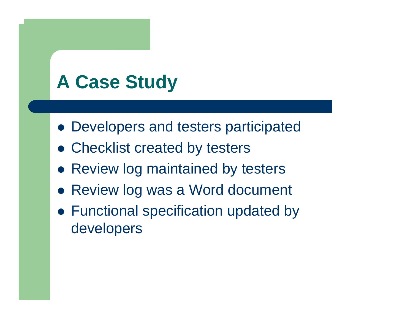## **A Case Study**

- Developers and testers participated
- Checklist created by testers
- Review log maintained by testers
- Review log was a Word document
- Functional specification updated by developers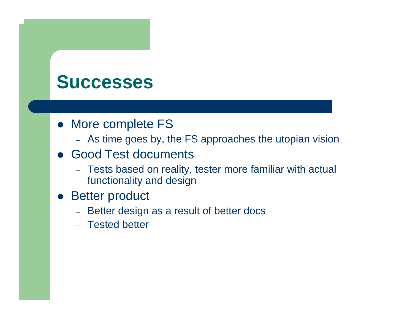#### **Successes**

- More complete FS
	- As time goes by, the FS approaches the utopian vision
- Good Test documents
	- Tests based on reality, tester more familiar with actual functionality and design
- Better product
	- Better design as a result of better docs
	- Tested better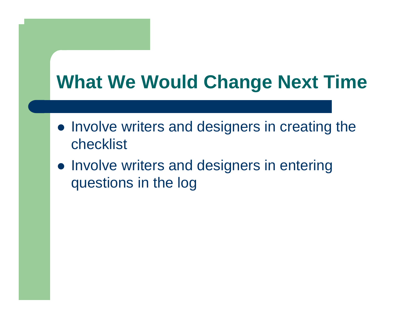## **What We Would Change Next Time**

- Involve writers and designers in creating the checklist
- Involve writers and designers in entering questions in the log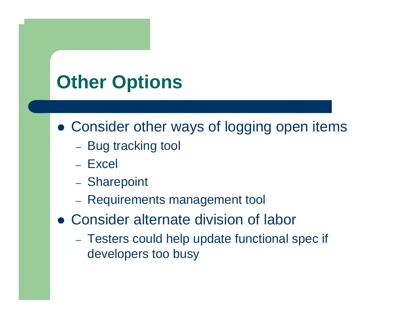# **Other Options**

- Consider other ways of logging open items
	- Bug tracking tool
	- Excel
	- Sharepoint
	- Requirements management tool
- Consider alternate division of labor
	- Testers could help update functional spec if developers too busy